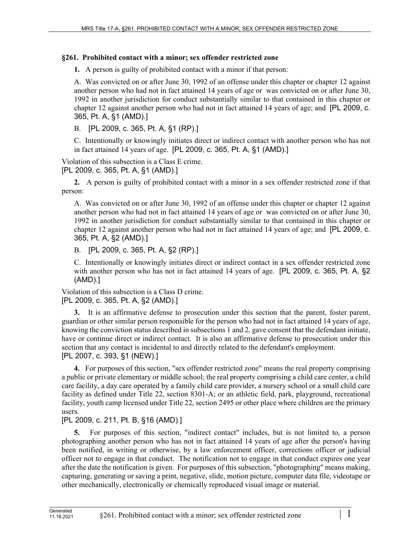## **§261. Prohibited contact with a minor; sex offender restricted zone**

**1.** A person is guilty of prohibited contact with a minor if that person:

A. Was convicted on or after June 30, 1992 of an offense under this chapter or chapter 12 against another person who had not in fact attained 14 years of age or was convicted on or after June 30, 1992 in another jurisdiction for conduct substantially similar to that contained in this chapter or chapter 12 against another person who had not in fact attained 14 years of age; and [PL 2009, c. 365, Pt. A, §1 (AMD).]

B. [PL 2009, c. 365, Pt. A, §1 (RP).]

C. Intentionally or knowingly initiates direct or indirect contact with another person who has not in fact attained 14 years of age. [PL 2009, c. 365, Pt. A, §1 (AMD).]

Violation of this subsection is a Class E crime. [PL 2009, c. 365, Pt. A, §1 (AMD).]

**2.** A person is guilty of prohibited contact with a minor in a sex offender restricted zone if that person:

A. Was convicted on or after June 30, 1992 of an offense under this chapter or chapter 12 against another person who had not in fact attained 14 years of age or was convicted on or after June 30, 1992 in another jurisdiction for conduct substantially similar to that contained in this chapter or chapter 12 against another person who had not in fact attained 14 years of age; and [PL 2009, c. 365, Pt. A, §2 (AMD).]

B. [PL 2009, c. 365, Pt. A, §2 (RP).]

C. Intentionally or knowingly initiates direct or indirect contact in a sex offender restricted zone with another person who has not in fact attained 14 years of age. [PL 2009, c. 365, Pt. A, §2 (AMD).]

Violation of this subsection is a Class D crime. [PL 2009, c. 365, Pt. A, §2 (AMD).]

**3.** It is an affirmative defense to prosecution under this section that the parent, foster parent, guardian or other similar person responsible for the person who had not in fact attained 14 years of age, knowing the conviction status described in subsections 1 and 2, gave consent that the defendant initiate, have or continue direct or indirect contact. It is also an affirmative defense to prosecution under this section that any contact is incidental to and directly related to the defendant's employment. [PL 2007, c. 393, §1 (NEW).]

**4.** For purposes of this section, "sex offender restricted zone" means the real property comprising a public or private elementary or middle school; the real property comprising a child care center, a child care facility, a day care operated by a family child care provider, a nursery school or a small child care facility as defined under Title 22, section 8301-A; or an athletic field, park, playground, recreational facility, youth camp licensed under Title 22, section 2495 or other place where children are the primary users.

## [PL 2009, c. 211, Pt. B, §16 (AMD).]

**5.** For purposes of this section, "indirect contact" includes, but is not limited to, a person photographing another person who has not in fact attained 14 years of age after the person's having been notified, in writing or otherwise, by a law enforcement officer, corrections officer or judicial officer not to engage in that conduct. The notification not to engage in that conduct expires one year after the date the notification is given. For purposes of this subsection, "photographing" means making, capturing, generating or saving a print, negative, slide, motion picture, computer data file, videotape or other mechanically, electronically or chemically reproduced visual image or material.